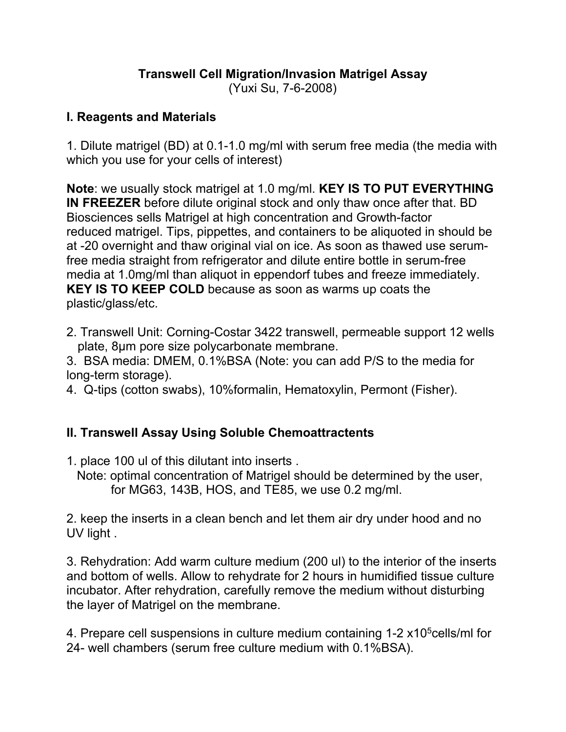## **Transwell Cell Migration/Invasion Matrigel Assay**

(Yuxi Su, 7-6-2008)

## **I. Reagents and Materials**

1. Dilute matrigel (BD) at 0.1-1.0 mg/ml with serum free media (the media with which you use for your cells of interest)

**Note**: we usually stock matrigel at 1.0 mg/ml. **KEY IS TO PUT EVERYTHING IN FREEZER** before dilute original stock and only thaw once after that. BD Biosciences sells Matrigel at high concentration and Growth-factor reduced matrigel. Tips, pippettes, and containers to be aliquoted in should be at -20 overnight and thaw original vial on ice. As soon as thawed use serumfree media straight from refrigerator and dilute entire bottle in serum-free media at 1.0mg/ml than aliquot in eppendorf tubes and freeze immediately. **KEY IS TO KEEP COLD** because as soon as warms up coats the plastic/glass/etc.

2. Transwell Unit: Corning-Costar 3422 transwell, permeable support 12 wells plate, 8µm pore size polycarbonate membrane.

3. BSA media: DMEM, 0.1%BSA (Note: you can add P/S to the media for long-term storage).

4. Q-tips (cotton swabs), 10%formalin, Hematoxylin, Permont (Fisher).

## **II. Transwell Assay Using Soluble Chemoattractents**

- 1. place 100 ul of this dilutant into inserts .
	- Note: optimal concentration of Matrigel should be determined by the user, for MG63, 143B, HOS, and TE85, we use 0.2 mg/ml.

2. keep the inserts in a clean bench and let them air dry under hood and no UV light .

3. Rehydration: Add warm culture medium (200 ul) to the interior of the inserts and bottom of wells. Allow to rehydrate for 2 hours in humidified tissue culture incubator. After rehydration, carefully remove the medium without disturbing the layer of Matrigel on the membrane.

4. Prepare cell suspensions in culture medium containing 1-2 x10<sup>5</sup>cells/ml for 24- well chambers (serum free culture medium with 0.1%BSA).